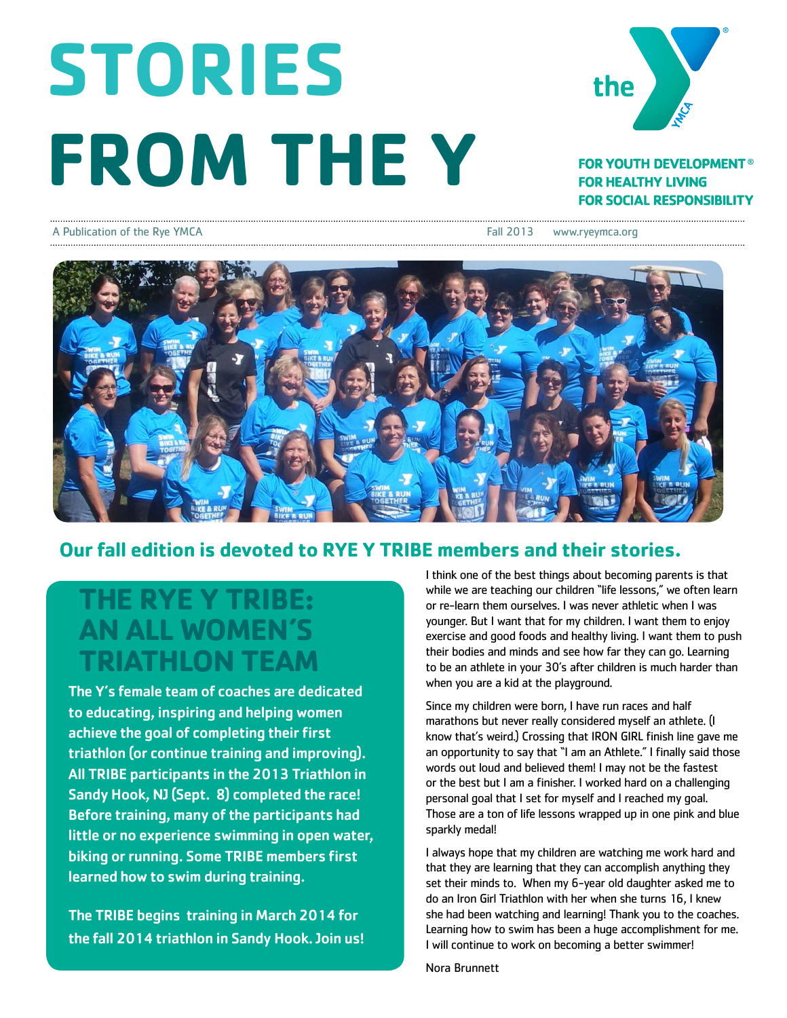# **STORIES FROM THE Y**



### **FOR YOUTH DEVELOPMENT<sup>®</sup> FOR HEALTHY LIVING FOR SOCIAL RESPONSIBILITY**

#### A Publication of the Rye YMCA Fall 2013 www.ryeymca.org



## **Our fall edition is devoted to RYE Y TRIBE members and their stories.**

# **THE RYE Y TRIBE: AN ALL WOMEN'S TRIATHLON TEAM**

The Y's female team of coaches are dedicated to educating, inspiring and helping women achieve the goal of completing their first triathlon (or continue training and improving). All TRIBE participants in the 2013 Triathlon in Sandy Hook, NJ (Sept. 8) completed the race! Before training, many of the participants had little or no experience swimming in open water, biking or running. Some TRIBE members first learned how to swim during training.

The TRIBE begins training in March 2014 for the fall 2014 triathlon in Sandy Hook. Join us! I think one of the best things about becoming parents is that while we are teaching our children "life lessons," we often learn or re-learn them ourselves. I was never athletic when I was younger. But I want that for my children. I want them to enjoy exercise and good foods and healthy living. I want them to push their bodies and minds and see how far they can go. Learning to be an athlete in your 30's after children is much harder than when you are a kid at the playground.

Since my children were born, I have run races and half marathons but never really considered myself an athlete. (I know that's weird.) Crossing that IRON GIRL finish line gave me an opportunity to say that "I am an Athlete." I finally said those words out loud and believed them! I may not be the fastest or the best but I am a finisher. I worked hard on a challenging personal goal that I set for myself and I reached my goal. Those are a ton of life lessons wrapped up in one pink and blue sparkly medal!

I always hope that my children are watching me work hard and that they are learning that they can accomplish anything they set their minds to. When my 6-year old daughter asked me to do an Iron Girl Triathlon with her when she turns 16, I knew she had been watching and learning! Thank you to the coaches. Learning how to swim has been a huge accomplishment for me. I will continue to work on becoming a better swimmer!

Nora Brunnett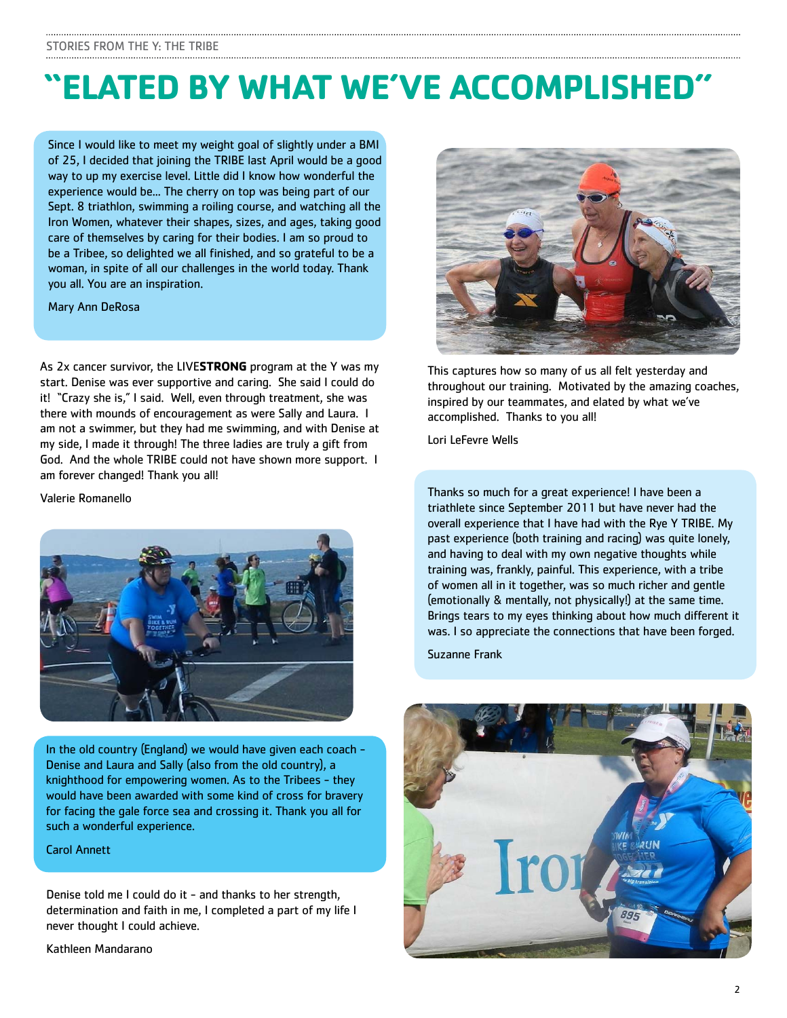# **"ELATED BY WHAT WE'VE ACCOMPLISHED"**

Since I would like to meet my weight goal of slightly under a BMI of 25, I decided that joining the TRIBE last April would be a good way to up my exercise level. Little did I know how wonderful the experience would be... The cherry on top was being part of our Sept. 8 triathlon, swimming a roiling course, and watching all the Iron Women, whatever their shapes, sizes, and ages, taking good care of themselves by caring for their bodies. I am so proud to be a Tribee, so delighted we all finished, and so grateful to be a woman, in spite of all our challenges in the world today. Thank you all. You are an inspiration.

Mary Ann DeRosa

As 2x cancer survivor, the LIVE**STRONG** program at the Y was my start. Denise was ever supportive and caring. She said I could do it! "Crazy she is," I said. Well, even through treatment, she was there with mounds of encouragement as were Sally and Laura. I am not a swimmer, but they had me swimming, and with Denise at my side, I made it through! The three ladies are truly a gift from God. And the whole TRIBE could not have shown more support. I am forever changed! Thank you all!

Valerie Romanello



In the old country (England) we would have given each coach - Denise and Laura and Sally (also from the old country), a knighthood for empowering women. As to the Tribees - they would have been awarded with some kind of cross for bravery for facing the gale force sea and crossing it. Thank you all for such a wonderful experience.

Carol Annett

Denise told me I could do it - and thanks to her strength, determination and faith in me, I completed a part of my life I never thought I could achieve.

Kathleen Mandarano



This captures how so many of us all felt yesterday and throughout our training. Motivated by the amazing coaches, inspired by our teammates, and elated by what we've accomplished. Thanks to you all!

Lori LeFevre Wells

Thanks so much for a great experience! I have been a triathlete since September 2011 but have never had the overall experience that I have had with the Rye Y TRIBE. My past experience (both training and racing) was quite lonely, and having to deal with my own negative thoughts while training was, frankly, painful. This experience, with a tribe of women all in it together, was so much richer and gentle (emotionally & mentally, not physically!) at the same time. Brings tears to my eyes thinking about how much different it was. I so appreciate the connections that have been forged.

Suzanne Frank

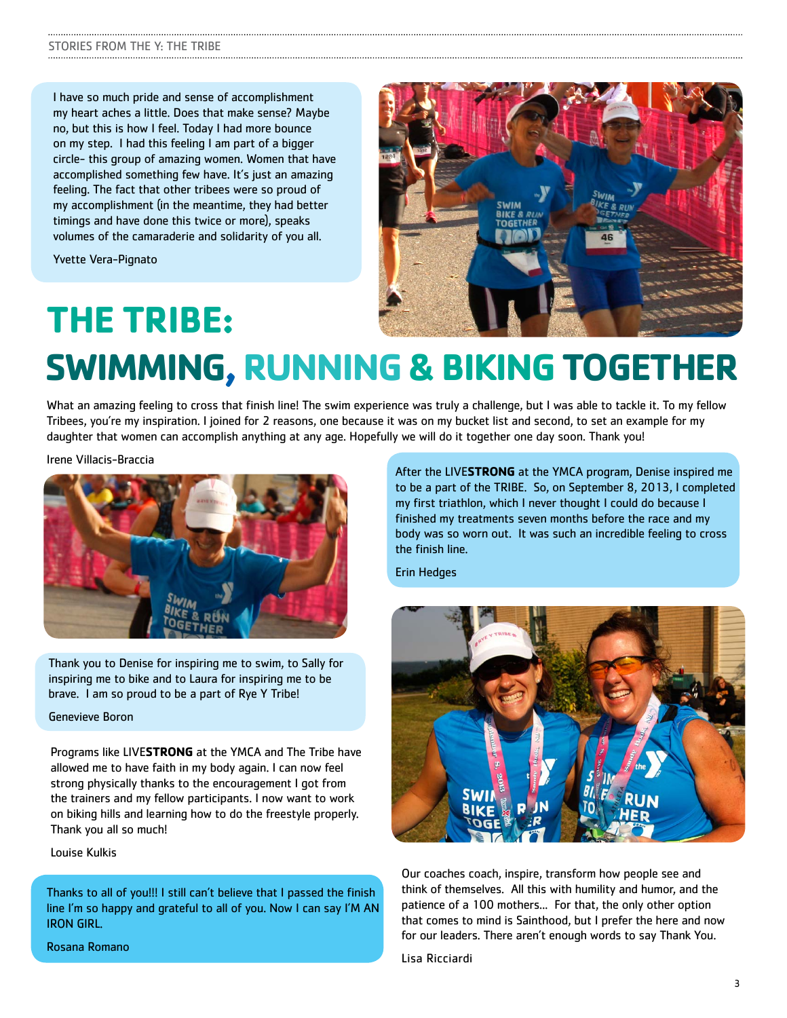I have so much pride and sense of accomplishment my heart aches a little. Does that make sense? Maybe no, but this is how I feel. Today I had more bounce on my step. I had this feeling I am part of a bigger circle- this group of amazing women. Women that have accomplished something few have. It's just an amazing feeling. The fact that other tribees were so proud of my accomplishment (in the meantime, they had better timings and have done this twice or more), speaks volumes of the camaraderie and solidarity of you all.

Yvette Vera-Pignato

**THE TRIBE:**



# **SWIMMING,RUNNING & BIKINGTOGETHER**

What an amazing feeling to cross that finish line! The swim experience was truly a challenge, but I was able to tackle it. To my fellow Tribees, you're my inspiration. I joined for 2 reasons, one because it was on my bucket list and second, to set an example for my daughter that women can accomplish anything at any age. Hopefully we will do it together one day soon. Thank you!

Irene Villacis-Braccia



Thank you to Denise for inspiring me to swim, to Sally for inspiring me to bike and to Laura for inspiring me to be brave. I am so proud to be a part of Rye Y Tribe!

Genevieve Boron

Programs like LIVE**STRONG** at the YMCA and The Tribe have allowed me to have faith in my body again. I can now feel strong physically thanks to the encouragement I got from the trainers and my fellow participants. I now want to work on biking hills and learning how to do the freestyle properly. Thank you all so much!

Louise Kulkis

Thanks to all of you!!! I still can't believe that I passed the finish line I'm so happy and grateful to all of you. Now I can say I'M AN IRON GIRL.

After the LIVE**STRONG** at the YMCA program, Denise inspired me to be a part of the TRIBE. So, on September 8, 2013, I completed my first triathlon, which I never thought I could do because I finished my treatments seven months before the race and my body was so worn out. It was such an incredible feeling to cross the finish line.

Erin Hedges



Our coaches coach, inspire, transform how people see and think of themselves. All this with humility and humor, and the patience of a 100 mothers... For that, the only other option that comes to mind is Sainthood, but I prefer the here and now for our leaders. There aren't enough words to say Thank You.

Lisa Ricciardi

Rosana Romano